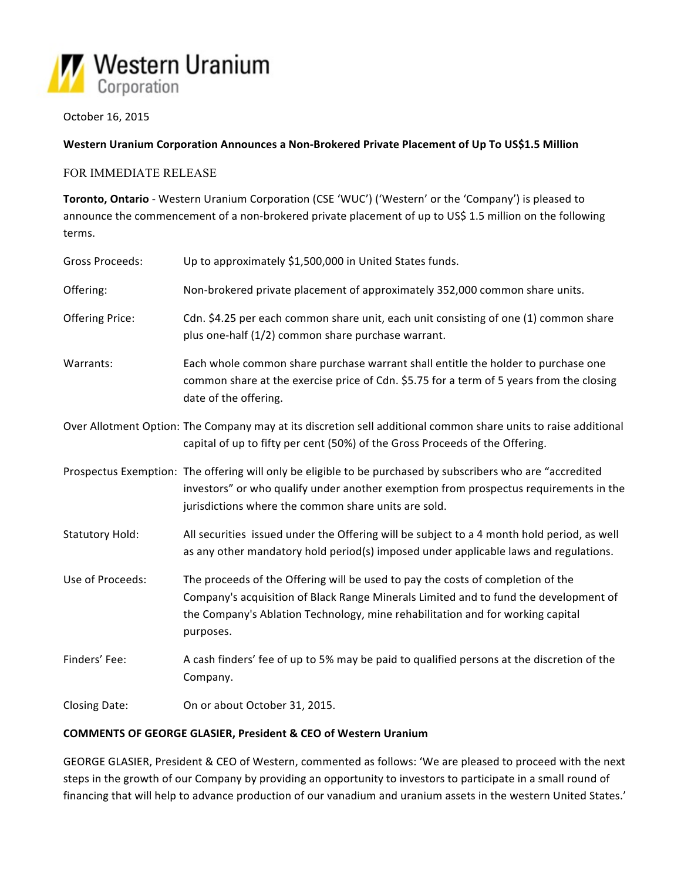

October 16, 2015

# Western Uranium Corporation Announces a Non-Brokered Private Placement of Up To US\$1.5 Million

### FOR IMMEDIATE RELEASE

Toronto, Ontario - Western Uranium Corporation (CSE 'WUC') ('Western' or the 'Company') is pleased to announce the commencement of a non-brokered private placement of up to US\$ 1.5 million on the following terms.

| <b>Gross Proceeds:</b> | Up to approximately \$1,500,000 in United States funds.                                                                                                                                                                                                                |
|------------------------|------------------------------------------------------------------------------------------------------------------------------------------------------------------------------------------------------------------------------------------------------------------------|
| Offering:              | Non-brokered private placement of approximately 352,000 common share units.                                                                                                                                                                                            |
| <b>Offering Price:</b> | Cdn. \$4.25 per each common share unit, each unit consisting of one (1) common share<br>plus one-half (1/2) common share purchase warrant.                                                                                                                             |
| Warrants:              | Each whole common share purchase warrant shall entitle the holder to purchase one<br>common share at the exercise price of Cdn. \$5.75 for a term of 5 years from the closing<br>date of the offering.                                                                 |
|                        | Over Allotment Option: The Company may at its discretion sell additional common share units to raise additional<br>capital of up to fifty per cent (50%) of the Gross Proceeds of the Offering.                                                                        |
|                        | Prospectus Exemption: The offering will only be eligible to be purchased by subscribers who are "accredited<br>investors" or who qualify under another exemption from prospectus requirements in the<br>jurisdictions where the common share units are sold.           |
| <b>Statutory Hold:</b> | All securities issued under the Offering will be subject to a 4 month hold period, as well<br>as any other mandatory hold period(s) imposed under applicable laws and regulations.                                                                                     |
| Use of Proceeds:       | The proceeds of the Offering will be used to pay the costs of completion of the<br>Company's acquisition of Black Range Minerals Limited and to fund the development of<br>the Company's Ablation Technology, mine rehabilitation and for working capital<br>purposes. |
| Finders' Fee:          | A cash finders' fee of up to 5% may be paid to qualified persons at the discretion of the<br>Company.                                                                                                                                                                  |
| Closing Date:          | On or about October 31, 2015.                                                                                                                                                                                                                                          |

#### **COMMENTS OF GEORGE GLASIER, President & CEO of Western Uranium**

GEORGE GLASIER, President & CEO of Western, commented as follows: 'We are pleased to proceed with the next steps in the growth of our Company by providing an opportunity to investors to participate in a small round of financing that will help to advance production of our vanadium and uranium assets in the western United States.'